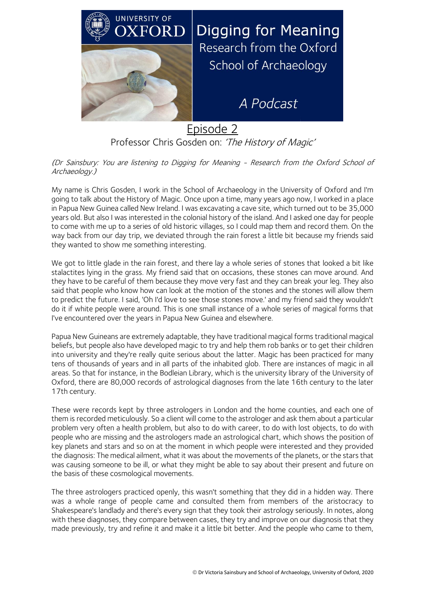

Professor Chris Gosden on: 'The History of Magic'

(Dr Sainsbury: You are listening to Digging for Meaning - Research from the Oxford School of Archaeology.)

My name is Chris Gosden, I work in the School of Archaeology in the University of Oxford and I'm going to talk about the History of Magic. Once upon a time, many years ago now, I worked in a place in Papua New Guinea called New Ireland. I was excavating a cave site, which turned out to be 35,000 years old. But also I was interested in the colonial history of the island. And I asked one day for people to come with me up to a series of old historic villages, so I could map them and record them. On the way back from our day trip, we deviated through the rain forest a little bit because my friends said they wanted to show me something interesting.

We got to little glade in the rain forest, and there lay a whole series of stones that looked a bit like stalactites lying in the grass. My friend said that on occasions, these stones can move around. And they have to be careful of them because they move very fast and they can break your leg. They also said that people who know how can look at the motion of the stones and the stones will allow them to predict the future. I said, 'Oh I'd love to see those stones move.' and my friend said they wouldn't do it if white people were around. This is one small instance of a whole series of magical forms that I've encountered over the years in Papua New Guinea and elsewhere.

Papua New Guineans are extremely adaptable, they have traditional magical forms traditional magical beliefs, but people also have developed magic to try and help them rob banks or to get their children into university and they're really quite serious about the latter. Magic has been practiced for many tens of thousands of years and in all parts of the inhabited glob. There are instances of magic in all areas. So that for instance, in the Bodleian Library, which is the university library of the University of Oxford, there are 80,000 records of astrological diagnoses from the late 16th century to the later 17th century.

These were records kept by three astrologers in London and the home counties, and each one of them is recorded meticulously. So a client will come to the astrologer and ask them about a particular problem very often a health problem, but also to do with career, to do with lost objects, to do with people who are missing and the astrologers made an astrological chart, which shows the position of key planets and stars and so on at the moment in which people were interested and they provided the diagnosis: The medical ailment, what it was about the movements of the planets, or the stars that was causing someone to be ill, or what they might be able to say about their present and future on the basis of these cosmological movements.

The three astrologers practiced openly, this wasn't something that they did in a hidden way. There was a whole range of people came and consulted them from members of the aristocracy to Shakespeare's landlady and there's every sign that they took their astrology seriously. In notes, along with these diagnoses, they compare between cases, they try and improve on our diagnosis that they made previously, try and refine it and make it a little bit better. And the people who came to them,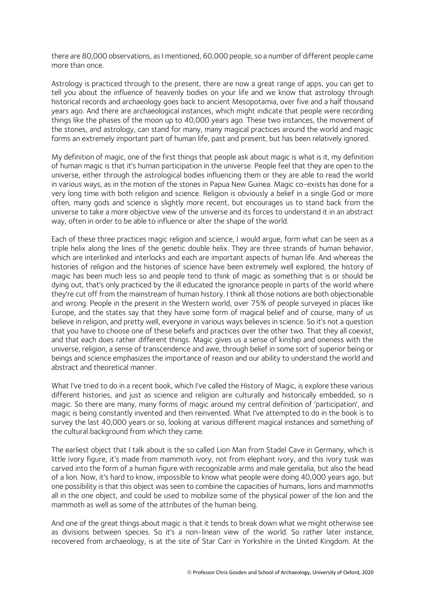there are 80,000 observations, as I mentioned, 60,000 people, so a number of different people came more than once.

Astrology is practiced through to the present, there are now a great range of apps, you can get to tell you about the influence of heavenly bodies on your life and we know that astrology through historical records and archaeology goes back to ancient Mesopotamia, over five and a half thousand years ago. And there are archaeological instances, which might indicate that people were recording things like the phases of the moon up to 40,000 years ago. These two instances, the movement of the stones, and astrology, can stand for many, many magical practices around the world and magic forms an extremely important part of human life, past and present, but has been relatively ignored.

My definition of magic, one of the first things that people ask about magic is what is it, my definition of human magic is that it's human participation in the universe. People feel that they are open to the universe, either through the astrological bodies influencing them or they are able to read the world in various ways, as in the motion of the stones in Papua New Guinea. Magic co-exists has done for a very long time with both religion and science. Religion is obviously a belief in a single God or more often, many gods and science is slightly more recent, but encourages us to stand back from the universe to take a more objective view of the universe and its forces to understand it in an abstract way, often in order to be able to influence or alter the shape of the world.

Each of these three practices magic religion and science, I would argue, form what can be seen as a triple helix along the lines of the genetic double helix. They are three strands of human behavior, which are interlinked and interlocks and each are important aspects of human life. And whereas the histories of religion and the histories of science have been extremely well explored, the history of magic has been much less so and people tend to think of magic as something that is or should be dying out, that's only practiced by the ill educated the ignorance people in parts of the world where they're cut off from the mainstream of human history. I think all those notions are both objectionable and wrong. People in the present in the Western world, over 75% of people surveyed in places like Europe, and the states say that they have some form of magical belief and of course, many of us believe in religion, and pretty well, everyone in various ways believes in science. So it's not a question that you have to choose one of these beliefs and practices over the other two. That they all coexist, and that each does rather different things. Magic gives us a sense of kinship and oneness with the universe, religion, a sense of transcendence and awe, through belief in some sort of superior being or beings and science emphasizes the importance of reason and our ability to understand the world and abstract and theoretical manner.

What I've tried to do in a recent book, which I've called the History of Magic, is explore these various different histories, and just as science and religion are culturally and historically embedded, so is magic. So there are many, many forms of magic around my central definition of 'participation', and magic is being constantly invented and then reinvented. What I've attempted to do in the book is to survey the last 40,000 years or so, looking at various different magical instances and something of the cultural background from which they came.

The earliest object that I talk about is the so called Lion Man from Stadel Cave in Germany, which is little ivory figure, it's made from mammoth ivory, not from elephant ivory, and this ivory tusk was carved into the form of a human figure with recognizable arms and male genitalia, but also the head of a lion. Now, it's hard to know, impossible to know what people were doing 40,000 years ago, but one possibility is that this object was seen to combine the capacities of humans, lions and mammoths all in the one object, and could be used to mobilize some of the physical power of the lion and the mammoth as well as some of the attributes of the human being.

And one of the great things about magic is that it tends to break down what we might otherwise see as divisions between species. So it's a non-linean view of the world. So rather later instance, recovered from archaeology, is at the site of Star Carr in Yorkshire in the United Kingdom. At the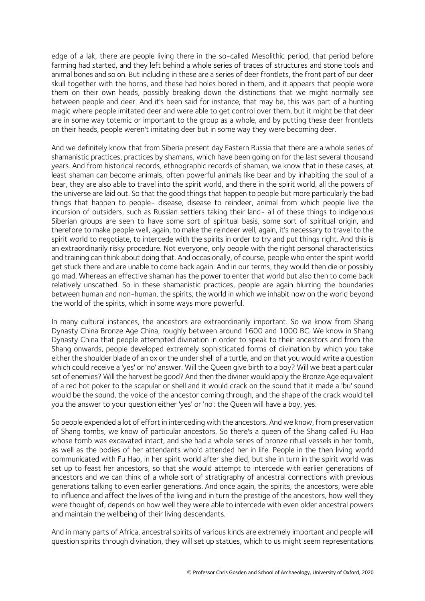edge of a lak, there are people living there in the so-called Mesolithic period, that period before farming had started, and they left behind a whole series of traces of structures and stone tools and animal bones and so on. But including in these are a series of deer frontlets, the front part of our deer skull together with the horns, and these had holes bored in them, and it appears that people wore them on their own heads, possibly breaking down the distinctions that we might normally see between people and deer. And it's been said for instance, that may be, this was part of a hunting magic where people imitated deer and were able to get control over them, but it might be that deer are in some way totemic or important to the group as a whole, and by putting these deer frontlets on their heads, people weren't imitating deer but in some way they were becoming deer.

And we definitely know that from Siberia present day Eastern Russia that there are a whole series of shamanistic practices, practices by shamans, which have been going on for the last several thousand years. And from historical records, ethnographic records of shaman, we know that in these cases, at least shaman can become animals, often powerful animals like bear and by inhabiting the soul of a bear, they are also able to travel into the spirit world, and there in the spirit world, all the powers of the universe are laid out. So that the good things that happen to people but more particularly the bad things that happen to people- disease, disease to reindeer, animal from which people live the incursion of outsiders, such as Russian settlers taking their land- all of these things to indigenous Siberian groups are seen to have some sort of spiritual basis, some sort of spiritual origin, and therefore to make people well, again, to make the reindeer well, again, it's necessary to travel to the spirit world to negotiate, to intercede with the spirits in order to try and put things right. And this is an extraordinarily risky procedure. Not everyone, only people with the right personal characteristics and training can think about doing that. And occasionally, of course, people who enter the spirit world get stuck there and are unable to come back again. And in our terms, they would then die or possibly go mad. Whereas an effective shaman has the power to enter that world but also then to come back relatively unscathed. So in these shamanistic practices, people are again blurring the boundaries between human and non-human, the spirits; the world in which we inhabit now on the world beyond the world of the spirits, which in some ways more powerful.

In many cultural instances, the ancestors are extraordinarily important. So we know from Shang Dynasty China Bronze Age China, roughly between around 1600 and 1000 BC. We know in Shang Dynasty China that people attempted divination in order to speak to their ancestors and from the Shang onwards, people developed extremely sophisticated forms of divination by which you take either the shoulder blade of an ox or the under shell of a turtle, and on that you would write a question which could receive a 'yes' or 'no' answer. Will the Queen give birth to a boy? Will we beat a particular set of enemies? Will the harvest be good? And then the diviner would apply the Bronze Age equivalent of a red hot poker to the scapular or shell and it would crack on the sound that it made a 'bu' sound would be the sound, the voice of the ancestor coming through, and the shape of the crack would tell you the answer to your question either 'yes' or 'no': the Queen will have a boy, yes.

So people expended a lot of effort in interceding with the ancestors. And we know, from preservation of Shang tombs, we know of particular ancestors. So there's a queen of the Shang called Fu Hao whose tomb was excavated intact, and she had a whole series of bronze ritual vessels in her tomb, as well as the bodies of her attendants who'd attended her in life. People in the then living world communicated with Fu Hao, in her spirit world after she died, but she in turn in the spirit world was set up to feast her ancestors, so that she would attempt to intercede with earlier generations of ancestors and we can think of a whole sort of stratigraphy of ancestral connections with previous generations talking to even earlier generations. And once again, the spirits, the ancestors, were able to influence and affect the lives of the living and in turn the prestige of the ancestors, how well they were thought of, depends on how well they were able to intercede with even older ancestral powers and maintain the wellbeing of their living descendants.

And in many parts of Africa, ancestral spirits of various kinds are extremely important and people will question spirits through divination, they will set up statues, which to us might seem representations